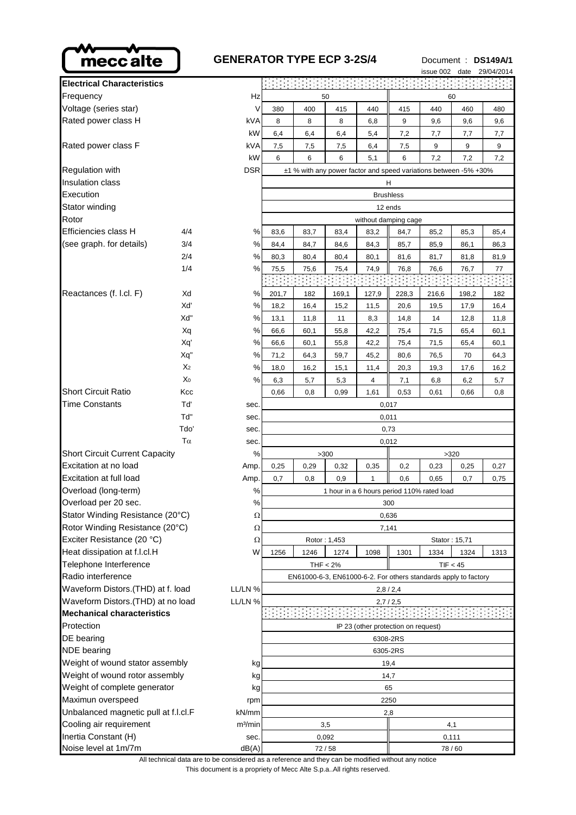

## **GENERATOR TYPE ECP 3-2S/4** Document : DS149A/1

issue 002 date 29/04/2014

|                                                                                                                                                                                                                                                                                                                                                                                                                                                                                                                                               |           |                     |                                            |      |                                                                  |                                     |          | issue uuz | uale          | 29/04/2014 |
|-----------------------------------------------------------------------------------------------------------------------------------------------------------------------------------------------------------------------------------------------------------------------------------------------------------------------------------------------------------------------------------------------------------------------------------------------------------------------------------------------------------------------------------------------|-----------|---------------------|--------------------------------------------|------|------------------------------------------------------------------|-------------------------------------|----------|-----------|---------------|------------|
| <b>Electrical Characteristics</b>                                                                                                                                                                                                                                                                                                                                                                                                                                                                                                             |           |                     |                                            |      |                                                                  |                                     |          |           |               |            |
| Frequency                                                                                                                                                                                                                                                                                                                                                                                                                                                                                                                                     |           | Hz                  |                                            |      | 50                                                               |                                     |          |           | 60            |            |
| Voltage (series star)                                                                                                                                                                                                                                                                                                                                                                                                                                                                                                                         |           | V                   | 380                                        | 400  | 415                                                              | 440                                 | 415      | 440       | 460           | 480        |
| Rated power class H                                                                                                                                                                                                                                                                                                                                                                                                                                                                                                                           |           | kVA                 | 8                                          | 8    | 8                                                                | 6,8                                 | 9        | 9,6       | 9,6           | 9,6        |
|                                                                                                                                                                                                                                                                                                                                                                                                                                                                                                                                               |           | kW                  | 6,4                                        | 6,4  | 6,4                                                              | 5,4                                 | 7,2      | 7,7       | 7,7           | 7,7        |
| Rated power class F                                                                                                                                                                                                                                                                                                                                                                                                                                                                                                                           |           | kVA                 | 7,5                                        | 7,5  | 7,5                                                              | 6,4                                 | 7,5      | 9         | 9             | 9          |
|                                                                                                                                                                                                                                                                                                                                                                                                                                                                                                                                               |           | kW                  | 6                                          | 6    | 6                                                                | 5,1                                 | 6        | 7,2       | 7,2           | 7,2        |
| Regulation with                                                                                                                                                                                                                                                                                                                                                                                                                                                                                                                               |           | <b>DSR</b>          |                                            |      | ±1 % with any power factor and speed variations between -5% +30% |                                     |          |           |               |            |
| Insulation class                                                                                                                                                                                                                                                                                                                                                                                                                                                                                                                              |           |                     |                                            |      |                                                                  |                                     | н        |           |               |            |
| 4/4<br>$\%$<br>3/4<br>$\%$<br>2/4<br>%<br>1/4<br>$\%$<br>Xd<br>$\%$<br>Xď<br>%<br>Xd"<br>$\%$<br>%<br>Xq<br>Xq'<br>$\%$<br>Xq"<br>%<br>X <sub>2</sub><br>$\%$<br>Χo<br>%<br>Kcc<br>Tď<br>sec.                                                                                                                                                                                                                                                                                                                                                 |           |                     |                                            |      |                                                                  | <b>Brushless</b>                    |          |           |               |            |
| Stator winding                                                                                                                                                                                                                                                                                                                                                                                                                                                                                                                                |           |                     |                                            |      |                                                                  |                                     | 12 ends  |           |               |            |
| Rotor                                                                                                                                                                                                                                                                                                                                                                                                                                                                                                                                         |           |                     |                                            |      |                                                                  | without damping cage                |          |           |               |            |
| Efficiencies class H                                                                                                                                                                                                                                                                                                                                                                                                                                                                                                                          |           |                     | 83,6                                       | 83,7 | 83,4                                                             | 83,2                                | 84,7     | 85,2      | 85,3          | 85,4       |
| (see graph. for details)                                                                                                                                                                                                                                                                                                                                                                                                                                                                                                                      |           |                     | 84,4                                       | 84,7 | 84,6                                                             | 84,3                                | 85,7     | 85,9      | 86,1          | 86,3       |
|                                                                                                                                                                                                                                                                                                                                                                                                                                                                                                                                               |           |                     | 80,3                                       | 80,4 | 80,4                                                             | 80,1                                | 81,6     | 81,7      | 81,8          | 81,9       |
|                                                                                                                                                                                                                                                                                                                                                                                                                                                                                                                                               |           |                     | 75,5                                       | 75,6 | 75,4                                                             | 74,9                                | 76,8     | 76,6      | 76,7          | 77         |
|                                                                                                                                                                                                                                                                                                                                                                                                                                                                                                                                               |           |                     |                                            |      |                                                                  |                                     |          |           |               |            |
| Execution<br>Reactances (f. l.cl. F)<br>Short Circuit Ratio<br><b>Time Constants</b><br><b>Short Circuit Current Capacity</b><br>Excitation at no load<br>Excitation at full load<br>Overload (long-term)<br>Overload per 20 sec.<br>Rotor Winding Resistance (20°C)<br>Exciter Resistance (20 °C)<br>Heat dissipation at f.l.cl.H<br>Telephone Interference<br>Radio interference<br>Waveform Distors.(THD) at f. load<br>Waveform Distors. (THD) at no load<br><b>Mechanical characteristics</b><br>Protection<br>DE bearing<br>NDE bearing |           |                     | 201,7                                      | 182  | 169,1                                                            | 127,9                               | 228,3    | 216,6     | 198,2         | 182        |
|                                                                                                                                                                                                                                                                                                                                                                                                                                                                                                                                               |           |                     | 18,2                                       | 16,4 | 15,2                                                             | 11,5                                | 20,6     | 19,5      | 17,9          | 16,4       |
|                                                                                                                                                                                                                                                                                                                                                                                                                                                                                                                                               |           |                     | 13,1                                       | 11,8 | 11                                                               | 8,3                                 | 14,8     | 14        | 12,8          | 11,8       |
|                                                                                                                                                                                                                                                                                                                                                                                                                                                                                                                                               |           |                     | 66,6                                       | 60,1 | 55,8                                                             | 42,2                                | 75,4     | 71,5      | 65,4          | 60,1       |
|                                                                                                                                                                                                                                                                                                                                                                                                                                                                                                                                               |           |                     | 66,6                                       | 60,1 | 55,8                                                             | 42,2                                | 75,4     | 71,5      | 65,4          | 60,1       |
|                                                                                                                                                                                                                                                                                                                                                                                                                                                                                                                                               |           |                     | 71,2                                       | 64,3 | 59,7                                                             | 45,2                                | 80,6     | 76,5      | 70            | 64,3       |
|                                                                                                                                                                                                                                                                                                                                                                                                                                                                                                                                               |           |                     | 18,0                                       | 16,2 | 15,1                                                             | 11,4                                | 20,3     | 19,3      | 17,6          | 16,2       |
|                                                                                                                                                                                                                                                                                                                                                                                                                                                                                                                                               |           |                     | 6,3                                        | 5,7  | 5,3                                                              | 4                                   | 7,1      | 6,8       | 6,2           | 5,7        |
|                                                                                                                                                                                                                                                                                                                                                                                                                                                                                                                                               |           |                     | 0,66                                       | 0,8  | 0,99                                                             | 1,61                                | 0,53     | 0,61      | 0,66          | 0,8        |
|                                                                                                                                                                                                                                                                                                                                                                                                                                                                                                                                               |           |                     | 0,017                                      |      |                                                                  |                                     |          |           |               |            |
|                                                                                                                                                                                                                                                                                                                                                                                                                                                                                                                                               | Tď"       | sec.                | 0,011                                      |      |                                                                  |                                     |          |           |               |            |
|                                                                                                                                                                                                                                                                                                                                                                                                                                                                                                                                               | Tdo'      | sec.                | 0,73                                       |      |                                                                  |                                     |          |           |               |            |
|                                                                                                                                                                                                                                                                                                                                                                                                                                                                                                                                               | $T\alpha$ | sec.                |                                            |      |                                                                  |                                     | 0,012    |           |               |            |
|                                                                                                                                                                                                                                                                                                                                                                                                                                                                                                                                               |           | %                   |                                            |      | >300                                                             |                                     |          |           | >320          |            |
|                                                                                                                                                                                                                                                                                                                                                                                                                                                                                                                                               |           | Amp.                | 0,25                                       | 0,29 | 0,32                                                             | 0,35                                | 0,2      | 0,23      | 0,25          | 0,27       |
|                                                                                                                                                                                                                                                                                                                                                                                                                                                                                                                                               |           | Amp.                | 0,7                                        | 0,8  | 0,9                                                              | 1                                   | 0,6      | 0,65      | 0,7           | 0,75       |
|                                                                                                                                                                                                                                                                                                                                                                                                                                                                                                                                               |           | $\%$                | 1 hour in a 6 hours period 110% rated load |      |                                                                  |                                     |          |           |               |            |
|                                                                                                                                                                                                                                                                                                                                                                                                                                                                                                                                               |           | %                   | 300                                        |      |                                                                  |                                     |          |           |               |            |
| Stator Winding Resistance (20°C)                                                                                                                                                                                                                                                                                                                                                                                                                                                                                                              |           | Ω                   | 0,636<br>7,141                             |      |                                                                  |                                     |          |           |               |            |
|                                                                                                                                                                                                                                                                                                                                                                                                                                                                                                                                               |           | Ω<br>Ω              |                                            |      | Rotor: 1,453                                                     |                                     |          |           | Stator: 15,71 |            |
|                                                                                                                                                                                                                                                                                                                                                                                                                                                                                                                                               |           | W                   | 1256                                       | 1246 | 1274                                                             | 1098                                | 1301     | 1334      | 1324          | 1313       |
|                                                                                                                                                                                                                                                                                                                                                                                                                                                                                                                                               |           |                     |                                            |      | THF $<$ 2%                                                       |                                     |          |           | TIF < 45      |            |
|                                                                                                                                                                                                                                                                                                                                                                                                                                                                                                                                               |           |                     |                                            |      | EN61000-6-3, EN61000-6-2. For others standards apply to factory  |                                     |          |           |               |            |
|                                                                                                                                                                                                                                                                                                                                                                                                                                                                                                                                               |           | LL/LN %             |                                            |      |                                                                  |                                     | 2,8/2,4  |           |               |            |
|                                                                                                                                                                                                                                                                                                                                                                                                                                                                                                                                               |           | LL/LN %             |                                            |      |                                                                  |                                     | 2,7/2,5  |           |               |            |
|                                                                                                                                                                                                                                                                                                                                                                                                                                                                                                                                               |           |                     |                                            |      |                                                                  |                                     |          |           |               |            |
|                                                                                                                                                                                                                                                                                                                                                                                                                                                                                                                                               |           |                     |                                            |      |                                                                  | IP 23 (other protection on request) |          |           |               |            |
|                                                                                                                                                                                                                                                                                                                                                                                                                                                                                                                                               |           |                     |                                            |      |                                                                  |                                     | 6308-2RS |           |               |            |
|                                                                                                                                                                                                                                                                                                                                                                                                                                                                                                                                               |           | 6305-2RS            |                                            |      |                                                                  |                                     |          |           |               |            |
| Weight of wound stator assembly<br>kg                                                                                                                                                                                                                                                                                                                                                                                                                                                                                                         |           | 19,4                |                                            |      |                                                                  |                                     |          |           |               |            |
| Weight of wound rotor assembly<br>kg                                                                                                                                                                                                                                                                                                                                                                                                                                                                                                          |           | 14,7                |                                            |      |                                                                  |                                     |          |           |               |            |
| Weight of complete generator<br>kg                                                                                                                                                                                                                                                                                                                                                                                                                                                                                                            |           | 65                  |                                            |      |                                                                  |                                     |          |           |               |            |
| Maximun overspeed<br>rpm                                                                                                                                                                                                                                                                                                                                                                                                                                                                                                                      |           | 2250                |                                            |      |                                                                  |                                     |          |           |               |            |
| Unbalanced magnetic pull at f.l.cl.F<br>kN/mm                                                                                                                                                                                                                                                                                                                                                                                                                                                                                                 |           | 2,8                 |                                            |      |                                                                  |                                     |          |           |               |            |
| Cooling air requirement                                                                                                                                                                                                                                                                                                                                                                                                                                                                                                                       |           | m <sup>3</sup> /min | 3,5<br>4,1                                 |      |                                                                  |                                     |          |           |               |            |
| Inertia Constant (H)                                                                                                                                                                                                                                                                                                                                                                                                                                                                                                                          |           | sec.                | 0,092<br>0,111                             |      |                                                                  |                                     |          |           |               |            |
| Noise level at 1m/7m                                                                                                                                                                                                                                                                                                                                                                                                                                                                                                                          |           | dB(A)               | 72/58                                      |      |                                                                  | 78/60                               |          |           |               |            |

This document is a propriety of Mecc Alte S.p.a..All rights reserved. All technical data are to be considered as a reference and they can be modified without any notice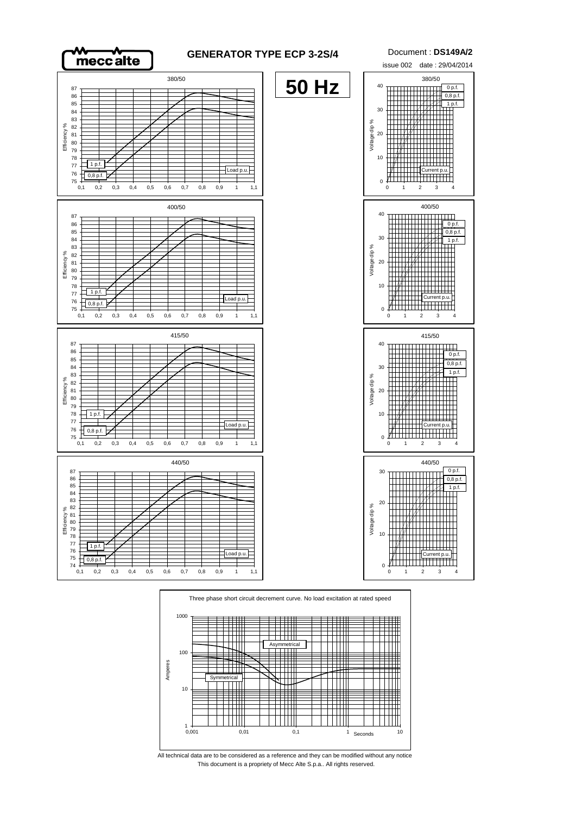



This document is a propriety of Mecc Alte S.p.a.. All rights reserved. All technical data are to be considered as a reference and they can be modified without any notice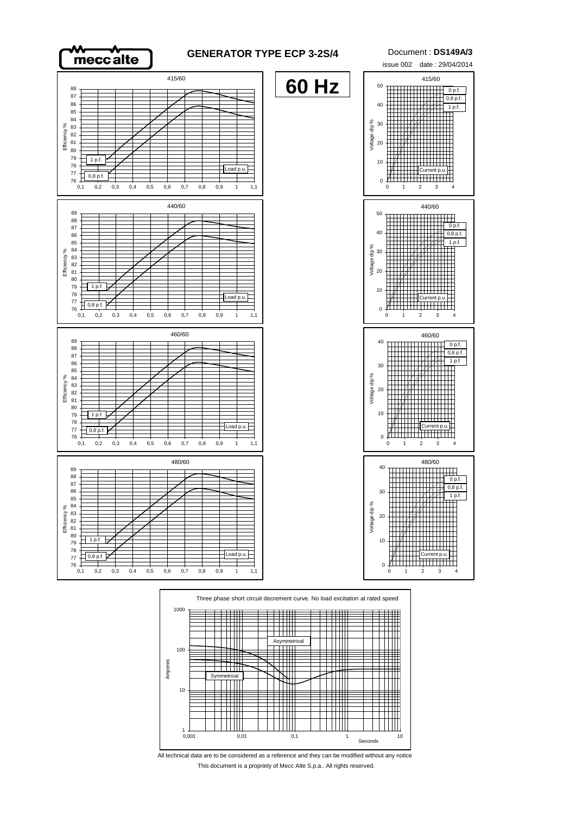



All technical data are to be considered as a reference and they can be modified without any notice This document is a propriety of Mecc Alte S.p.a.. All rights reserved.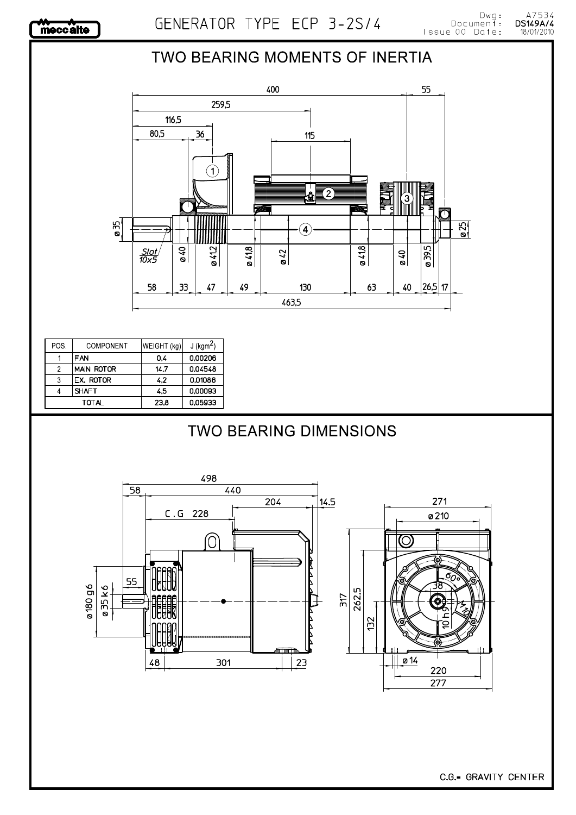

A7534<br>**DS149A/4**<br>18/01/2010

## TWO BEARING MOMENTS OF INERTIA



| POS. | COMPONENT    | WEIGHT (kg) | $J$ (kgm <sup>2</sup> ) |
|------|--------------|-------------|-------------------------|
|      | <b>FAN</b>   | 0.4         | 0.00206                 |
|      | MAIN ROTOR   | 14.7        | 0.04548                 |
| 3    | EX. ROTOR    | 4.2         | 0.01086                 |
|      | <b>SHAFT</b> | 4.5         | 0.00093                 |
|      | TOTAL        | 23.8        | 0.05933                 |

## **TWO BEARING DIMENSIONS**